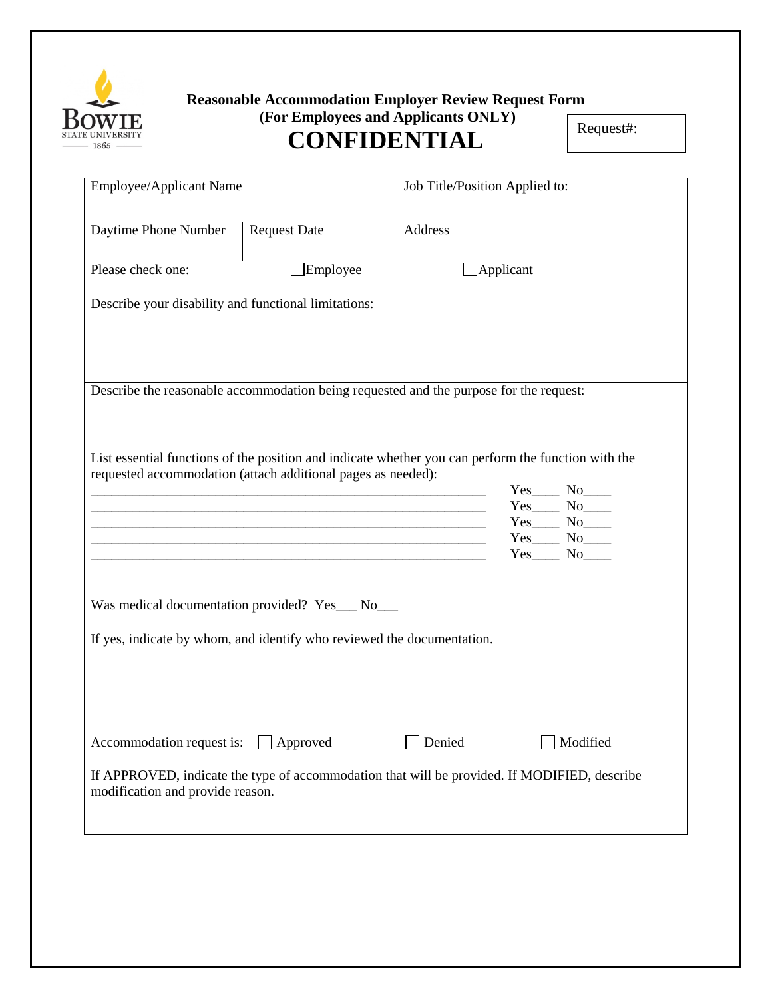

## **Reasonable Accommodation Employer Review Request Form (For Employees and Applicants ONLY)**

## **CONFIDENTIAL**

Request#:

| Employee/Applicant Name                                                                                                          |                     | Job Title/Position Applied to: |                  |              |
|----------------------------------------------------------------------------------------------------------------------------------|---------------------|--------------------------------|------------------|--------------|
| Daytime Phone Number                                                                                                             | <b>Request Date</b> | Address                        |                  |              |
| Please check one:                                                                                                                | Employee            |                                | $\Box$ Applicant |              |
| Describe your disability and functional limitations:                                                                             |                     |                                |                  |              |
|                                                                                                                                  |                     |                                |                  |              |
| Describe the reasonable accommodation being requested and the purpose for the request:                                           |                     |                                |                  |              |
|                                                                                                                                  |                     |                                |                  |              |
| List essential functions of the position and indicate whether you can perform the function with the                              |                     |                                |                  |              |
| requested accommodation (attach additional pages as needed):                                                                     |                     |                                |                  | $Yes$ No $N$ |
|                                                                                                                                  |                     |                                |                  |              |
|                                                                                                                                  |                     |                                |                  |              |
|                                                                                                                                  |                     |                                |                  | $Yes$ No     |
| Was medical documentation provided? Yes__ No__                                                                                   |                     |                                |                  |              |
| If yes, indicate by whom, and identify who reviewed the documentation.                                                           |                     |                                |                  |              |
|                                                                                                                                  |                     |                                |                  |              |
|                                                                                                                                  |                     |                                |                  |              |
| Accommodation request is:                                                                                                        | Approved            | Denied                         |                  | Modified     |
| If APPROVED, indicate the type of accommodation that will be provided. If MODIFIED, describe<br>modification and provide reason. |                     |                                |                  |              |
|                                                                                                                                  |                     |                                |                  |              |